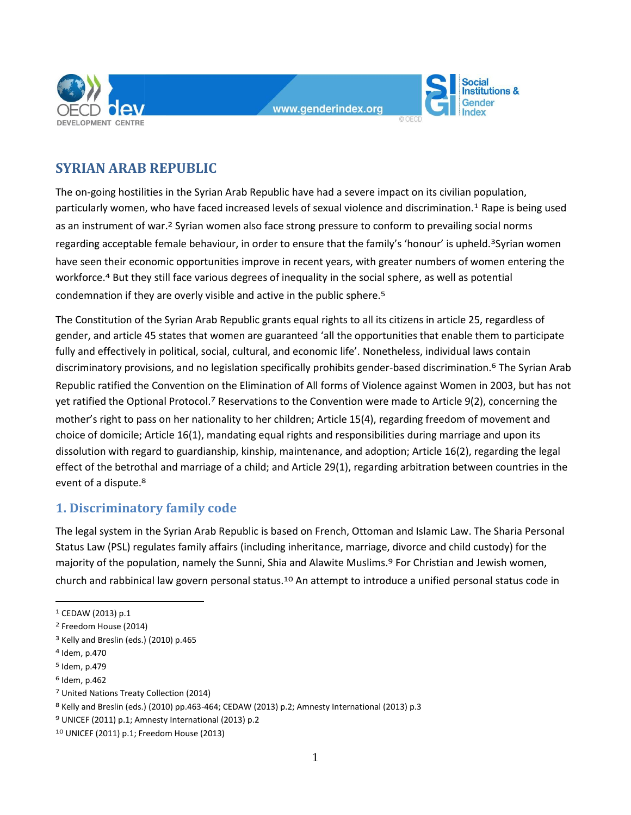

**Social Institutions &** Gender

# **SYRIAN ARAB REPUBLIC**

The on-going hostilities in the Syrian Arab Republic have had a severe impact on its civilian population, particularly women, who have faced increased levels of sexual violence and discrimination.1 Rape is being used as an instrument of war.2 Syrian women also face strong pressure to conform to prevailing social norms regarding acceptable female behaviour, in order to ensure that the family's 'honour' is upheld.<sup>3</sup>Syrian women have seen their economic opportunities improve in recent years, with greater numbers of women entering the workforce.4 But they still face various degrees of inequality in the social sphere, as well as potential condemnation if they are overly visible and active in the public sphere.5

The Constitution of the Syrian Arab Republic grants equal rights to all its citizens in article 25, regardless of gender, and article 45 states that women are guaranteed 'all the opportunities that enable them to participate fully and effectively in political, social, cultural, and economic life'. Nonetheless, individual laws contain discriminatory provisions, and no legislation specifically prohibits gender-based discrimination.6 The Syrian Arab Republic ratified the Convention on the Elimination of All forms of Violence against Women in 2003, but has not yet ratified the Optional Protocol.7 Reservations to the Convention were made to Article 9(2), concerning the mother's right to pass on her nationality to her children; Article 15(4), regarding freedom of movement and choice of domicile; Article 16(1), mandating equal rights and responsibilities during marriage and upon its dissolution with regard to guardianship, kinship, maintenance, and adoption; Article 16(2), regarding the legal effect of the betrothal and marriage of a child; and Article 29(1), regarding arbitration between countries in the event of a dispute.8

## **1. Discriminatory family code**

The legal system in the Syrian Arab Republic is based on French, Ottoman and Islamic Law. The Sharia Personal Status Law (PSL) regulates family affairs (including inheritance, marriage, divorce and child custody) for the majority of the population, namely the Sunni, Shia and Alawite Muslims.9 For Christian and Jewish women, church and rabbinical law govern personal status.10 An attempt to introduce a unified personal status code in

<sup>1</sup> CEDAW (2013) p.1

<sup>2</sup> Freedom House (2014)

<sup>3</sup> Kelly and Breslin (eds.) (2010) p.465

<sup>4</sup> Idem, p.470

<sup>5</sup> Idem, p.479

<sup>6</sup> Idem, p.462

<sup>7</sup> United Nations Treaty Collection (2014)

<sup>8</sup> Kelly and Breslin (eds.) (2010) pp.463-464; CEDAW (2013) p.2; Amnesty International (2013) p.3

<sup>9</sup> UNICEF (2011) p.1; Amnesty International (2013) p.2

<sup>10</sup> UNICEF (2011) p.1; Freedom House (2013)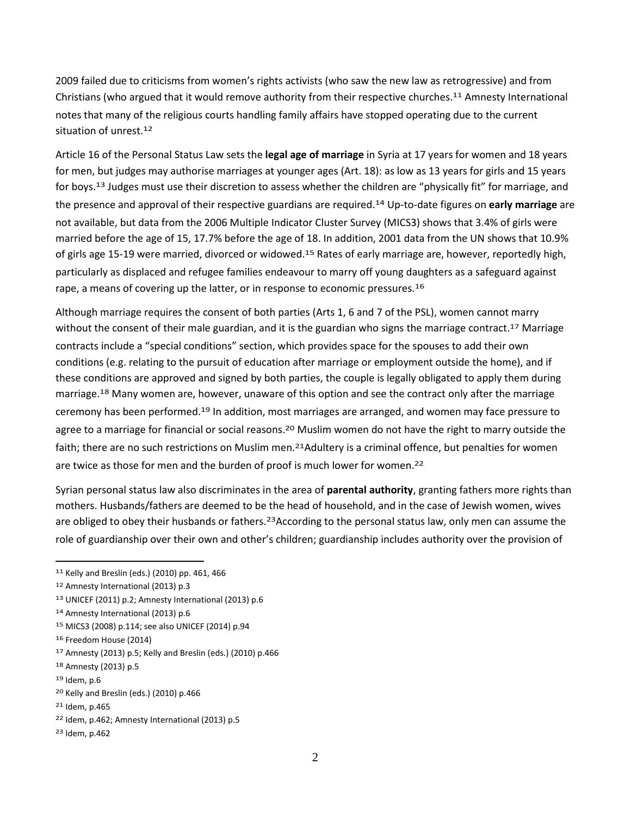2009 failed due to criticisms from women's rights activists (who saw the new law as retrogressive) and from Christians (who argued that it would remove authority from their respective churches.<sup>11</sup> Amnesty International notes that many of the religious courts handling family affairs have stopped operating due to the current situation of unrest.12

Article 16 of the Personal Status Law sets the **legal age of marriage** in Syria at 17 years for women and 18 years for men, but judges may authorise marriages at younger ages (Art. 18): as low as 13 years for girls and 15 years for boys. 13 Judges must use their discretion to assess whether the children are "physically fit" for marriage, and the presence and approval of their respective guardians are required.14 Up-to-date figures on **early marriage** are not available, but data from the 2006 Multiple Indicator Cluster Survey (MICS3) shows that 3.4% of girls were married before the age of 15, 17.7% before the age of 18. In addition, 2001 data from the UN shows that 10.9% of girls age 15-19 were married, divorced or widowed.<sup>15</sup> Rates of early marriage are, however, reportedly high, particularly as displaced and refugee families endeavour to marry off young daughters as a safeguard against rape, a means of covering up the latter, or in response to economic pressures.<sup>16</sup>

Although marriage requires the consent of both parties (Arts 1, 6 and 7 of the PSL), women cannot marry without the consent of their male guardian, and it is the guardian who signs the marriage contract.<sup>17</sup> Marriage contracts include a "special conditions" section, which provides space for the spouses to add their own conditions (e.g. relating to the pursuit of education after marriage or employment outside the home), and if these conditions are approved and signed by both parties, the couple is legally obligated to apply them during marriage.18 Many women are, however, unaware of this option and see the contract only after the marriage ceremony has been performed.19 In addition, most marriages are arranged, and women may face pressure to agree to a marriage for financial or social reasons.<sup>20</sup> Muslim women do not have the right to marry outside the faith; there are no such restrictions on Muslim men.<sup>21</sup>Adultery is a criminal offence, but penalties for women are twice as those for men and the burden of proof is much lower for women.22

Syrian personal status law also discriminates in the area of **parental authority**, granting fathers more rights than mothers. Husbands/fathers are deemed to be the head of household, and in the case of Jewish women, wives are obliged to obey their husbands or fathers.<sup>23</sup>According to the personal status law, only men can assume the role of guardianship over their own and other's children; guardianship includes authority over the provision of

<sup>11</sup> Kelly and Breslin (eds.) (2010) pp. 461, 466

<sup>12</sup> Amnesty International (2013) p.3

<sup>13</sup> UNICEF (2011) p.2; Amnesty International (2013) p.6

<sup>14</sup> Amnesty International (2013) p.6

<sup>15</sup> MICS3 (2008) p.114; see also UNICEF (2014) p.94

<sup>16</sup> Freedom House (2014)

<sup>17</sup> Amnesty (2013) p.5; Kelly and Breslin (eds.) (2010) p.466

<sup>18</sup> Amnesty (2013) p.5

<sup>19</sup> Idem, p.6

<sup>20</sup> Kelly and Breslin (eds.) (2010) p.466

<sup>21</sup> Idem, p.465

<sup>22</sup> Idem, p.462; Amnesty International (2013) p.5

<sup>23</sup> Idem, p.462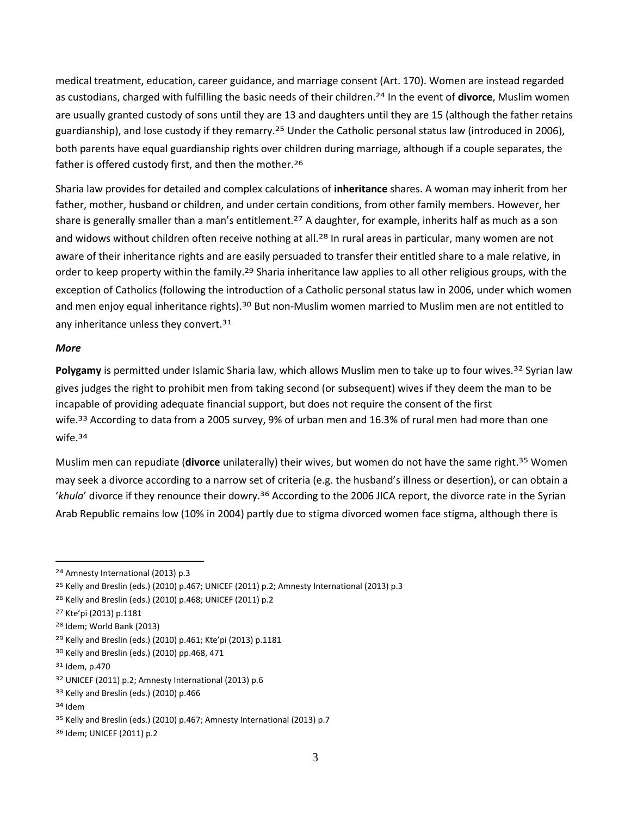medical treatment, education, career guidance, and marriage consent (Art. 170). Women are instead regarded as custodians, charged with fulfilling the basic needs of their children.24 In the event of **divorce**, Muslim women are usually granted custody of sons until they are 13 and daughters until they are 15 (although the father retains guardianship), and lose custody if they remarry.25 Under the Catholic personal status law (introduced in 2006), both parents have equal guardianship rights over children during marriage, although if a couple separates, the father is offered custody first, and then the mother.26

Sharia law provides for detailed and complex calculations of **inheritance** shares. A woman may inherit from her father, mother, husband or children, and under certain conditions, from other family members. However, her share is generally smaller than a man's entitlement.<sup>27</sup> A daughter, for example, inherits half as much as a son and widows without children often receive nothing at all.<sup>28</sup> In rural areas in particular, many women are not aware of their inheritance rights and are easily persuaded to transfer their entitled share to a male relative, in order to keep property within the family.<sup>29</sup> Sharia inheritance law applies to all other religious groups, with the exception of Catholics (following the introduction of a Catholic personal status law in 2006, under which women and men enjoy equal inheritance rights).<sup>30</sup> But non-Muslim women married to Muslim men are not entitled to any inheritance unless they convert.<sup>31</sup>

#### *More*

**Polygamy** is permitted under Islamic Sharia law, which allows Muslim men to take up to four wives.32 Syrian law gives judges the right to prohibit men from taking second (or subsequent) wives if they deem the man to be incapable of providing adequate financial support, but does not require the consent of the first wife.33 According to data from a 2005 survey, 9% of urban men and 16.3% of rural men had more than one wife.34

Muslim men can repudiate (**divorce** unilaterally) their wives, but women do not have the same right. 35 Women may seek a divorce according to a narrow set of criteria (e.g. the husband's illness or desertion), or can obtain a '*khula*' divorce if they renounce their dowry.36 According to the 2006 JICA report, the divorce rate in the Syrian Arab Republic remains low (10% in 2004) partly due to stigma divorced women face stigma, although there is

<sup>24</sup> Amnesty International (2013) p.3

<sup>25</sup> Kelly and Breslin (eds.) (2010) p.467; UNICEF (2011) p.2; Amnesty International (2013) p.3

<sup>26</sup> Kelly and Breslin (eds.) (2010) p.468; UNICEF (2011) p.2

<sup>27</sup> Kte'pi (2013) p.1181

<sup>28</sup> Idem; World Bank (2013)

<sup>29</sup> Kelly and Breslin (eds.) (2010) p.461; Kte'pi (2013) p.1181

<sup>30</sup> Kelly and Breslin (eds.) (2010) pp.468, 471

<sup>31</sup> Idem, p.470

<sup>32</sup> UNICEF (2011) p.2; Amnesty International (2013) p.6

<sup>33</sup> Kelly and Breslin (eds.) (2010) p.466

<sup>34</sup> Idem

<sup>35</sup> Kelly and Breslin (eds.) (2010) p.467; Amnesty International (2013) p.7

<sup>36</sup> Idem; UNICEF (2011) p.2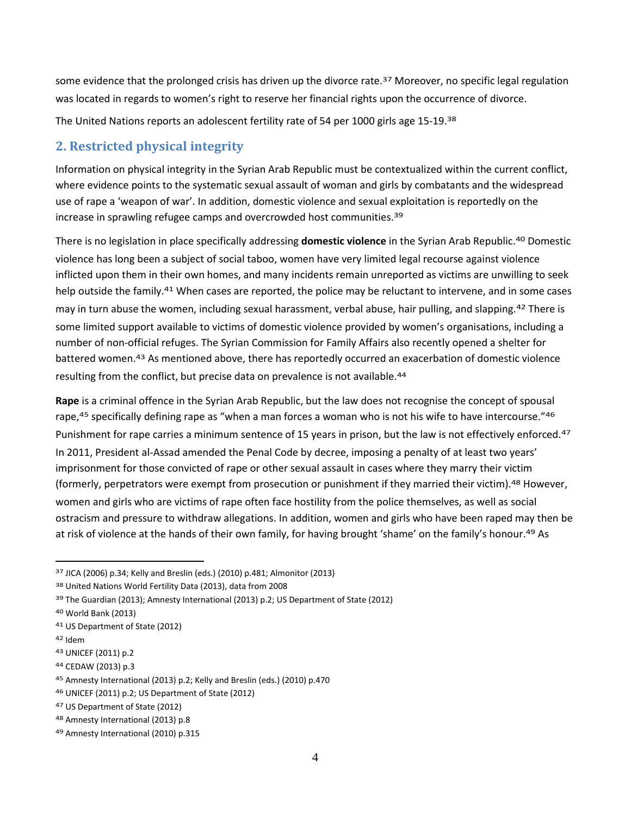some evidence that the prolonged crisis has driven up the divorce rate.<sup>37</sup> Moreover, no specific legal regulation was located in regards to women's right to reserve her financial rights upon the occurrence of divorce.

The United Nations reports an adolescent fertility rate of 54 per 1000 girls age 15-19.38

# **2. Restricted physical integrity**

Information on physical integrity in the Syrian Arab Republic must be contextualized within the current conflict, where evidence points to the systematic sexual assault of woman and girls by combatants and the widespread use of rape a 'weapon of war'. In addition, domestic violence and sexual exploitation is reportedly on the increase in sprawling refugee camps and overcrowded host communities.39

There is no legislation in place specifically addressing **domestic violence** in the Syrian Arab Republic. 40 Domestic violence has long been a subject of social taboo, women have very limited legal recourse against violence inflicted upon them in their own homes, and many incidents remain unreported as victims are unwilling to seek help outside the family.<sup>41</sup> When cases are reported, the police may be reluctant to intervene, and in some cases may in turn abuse the women, including sexual harassment, verbal abuse, hair pulling, and slapping.42 There is some limited support available to victims of domestic violence provided by women's organisations, including a number of non-official refuges. The Syrian Commission for Family Affairs also recently opened a shelter for battered women.43 As mentioned above, there has reportedly occurred an exacerbation of domestic violence resulting from the conflict, but precise data on prevalence is not available.<sup>44</sup>

**Rape** is a criminal offence in the Syrian Arab Republic, but the law does not recognise the concept of spousal rape,<sup>45</sup> specifically defining rape as "when a man forces a woman who is not his wife to have intercourse."<sup>46</sup> Punishment for rape carries a minimum sentence of 15 years in prison, but the law is not effectively enforced.<sup>47</sup> In 2011, President al-Assad amended the Penal Code by decree, imposing a penalty of at least two years' imprisonment for those convicted of rape or other sexual assault in cases where they marry their victim (formerly, perpetrators were exempt from prosecution or punishment if they married their victim).48 However, women and girls who are victims of rape often face hostility from the police themselves, as well as social ostracism and pressure to withdraw allegations. In addition, women and girls who have been raped may then be at risk of violence at the hands of their own family, for having brought 'shame' on the family's honour. 49 As

42 Idem

<sup>37</sup> JICA (2006) p.34; Kelly and Breslin (eds.) (2010) p.481; Almonitor (2013)

<sup>38</sup> United Nations World Fertility Data (2013), data from 2008

<sup>39</sup> The Guardian (2013); Amnesty International (2013) p.2; US Department of State (2012)

<sup>40</sup> World Bank (2013)

<sup>41</sup> US Department of State (2012)

<sup>43</sup> UNICEF (2011) p.2

<sup>44</sup> CEDAW (2013) p.3

<sup>45</sup> Amnesty International (2013) p.2; Kelly and Breslin (eds.) (2010) p.470

<sup>46</sup> UNICEF (2011) p.2; US Department of State (2012)

<sup>47</sup> US Department of State (2012)

<sup>48</sup> Amnesty International (2013) p.8

<sup>49</sup> Amnesty International (2010) p.315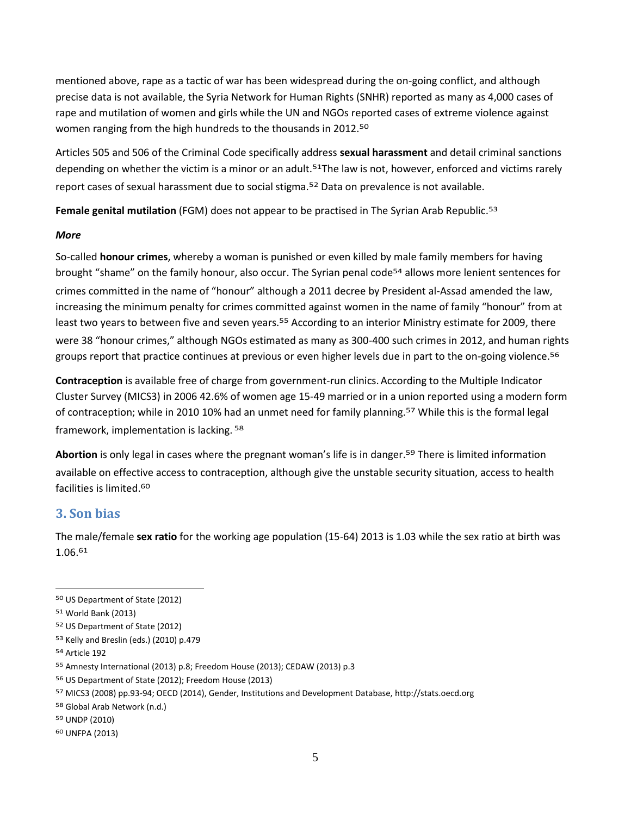mentioned above, rape as a tactic of war has been widespread during the on-going conflict, and although precise data is not available, the Syria Network for Human Rights (SNHR) reported as many as 4,000 cases of rape and mutilation of women and girls while the UN and NGOs reported cases of extreme violence against women ranging from the high hundreds to the thousands in 2012.50

Articles 505 and 506 of the Criminal Code specifically address **sexual harassment** and detail criminal sanctions depending on whether the victim is a minor or an adult.<sup>51</sup>The law is not, however, enforced and victims rarely report cases of sexual harassment due to social stigma.52 Data on prevalence is not available.

**Female genital mutilation** (FGM) does not appear to be practised in The Syrian Arab Republic. 53

#### *More*

So-called **honour crimes**, whereby a woman is punished or even killed by male family members for having brought "shame" on the family honour, also occur. The Syrian penal code<sup>54</sup> allows more lenient sentences for crimes committed in the name of "honour" although a 2011 decree by President al-Assad amended the law, increasing the minimum penalty for crimes committed against women in the name of family "honour" from at least two years to between five and seven years.55 According to an interior Ministry estimate for 2009, there were 38 "honour crimes," although NGOs estimated as many as 300-400 such crimes in 2012, and human rights groups report that practice continues at previous or even higher levels due in part to the on-going violence.<sup>56</sup>

**Contraception** is available free of charge from government-run clinics.According to the Multiple Indicator Cluster Survey (MICS3) in 2006 42.6% of women age 15-49 married or in a union reported using a modern form of contraception; while in 2010 10% had an unmet need for family planning.57 While this is the formal legal framework, implementation is lacking. 58

**Abortion** is only legal in cases where the pregnant woman's life is in danger. 59 There is limited information available on effective access to contraception, although give the unstable security situation, access to health facilities is limited.60

## **3. Son bias**

The male/female **sex ratio** for the working age population (15-64) 2013 is 1.03 while the sex ratio at birth was 1.06.61

<sup>50</sup> US Department of State (2012)

<sup>51</sup> World Bank (2013)

<sup>52</sup> US Department of State (2012)

<sup>53</sup> Kelly and Breslin (eds.) (2010) p.479

<sup>54</sup> Article 192

<sup>55</sup> Amnesty International (2013) p.8; Freedom House (2013); CEDAW (2013) p.3

<sup>56</sup> US Department of State (2012); Freedom House (2013)

<sup>57</sup> MICS3 (2008) pp.93-94; OECD (2014), Gender, Institutions and Development Database, http://stats.oecd.org

<sup>58</sup> Global Arab Network (n.d.)

<sup>59</sup> UNDP (2010)

<sup>60</sup> UNFPA (2013)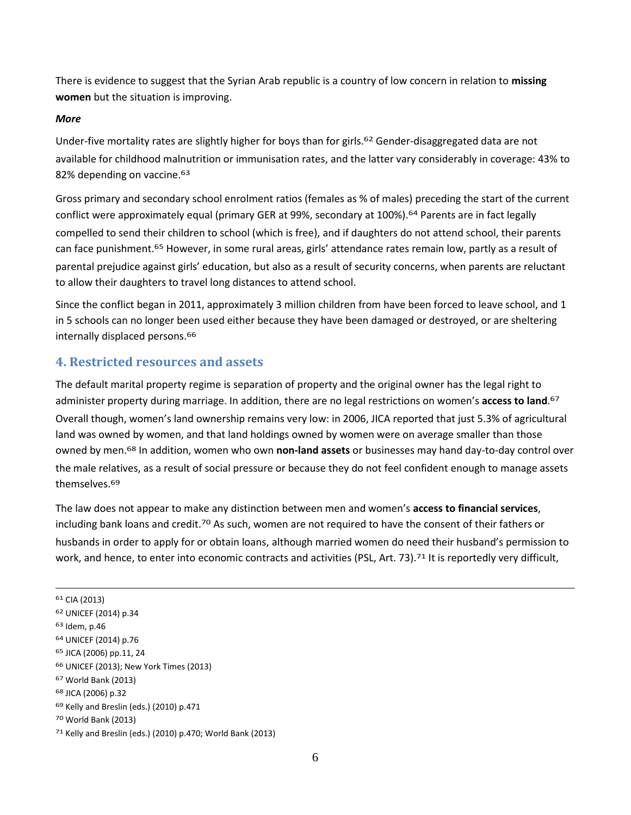There is evidence to suggest that the Syrian Arab republic is a country of low concern in relation to **missing women** but the situation is improving.

#### *More*

Under-five mortality rates are slightly higher for boys than for girls.62 Gender-disaggregated data are not available for childhood malnutrition or immunisation rates, and the latter vary considerably in coverage: 43% to 82% depending on vaccine.<sup>63</sup>

Gross primary and secondary school enrolment ratios (females as % of males) preceding the start of the current conflict were approximately equal (primary GER at 99%, secondary at 100%).<sup>64</sup> Parents are in fact legally compelled to send their children to school (which is free), and if daughters do not attend school, their parents can face punishment.65 However, in some rural areas, girls' attendance rates remain low, partly as a result of parental prejudice against girls' education, but also as a result of security concerns, when parents are reluctant to allow their daughters to travel long distances to attend school.

Since the conflict began in 2011, approximately 3 million children from have been forced to leave school, and 1 in 5 schools can no longer been used either because they have been damaged or destroyed, or are sheltering internally displaced persons.<sup>66</sup>

### **4. Restricted resources and assets**

The default marital property regime is separation of property and the original owner has the legal right to administer property during marriage. In addition, there are no legal restrictions on women's **access to land**. 67 Overall though, women's land ownership remains very low: in 2006, JICA reported that just 5.3% of agricultural land was owned by women, and that land holdings owned by women were on average smaller than those owned by men.68 In addition, women who own **non-land assets** or businesses may hand day-to-day control over the male relatives, as a result of social pressure or because they do not feel confident enough to manage assets themselves.69

The law does not appear to make any distinction between men and women's **access to financial services**, including bank loans and credit.<sup>70</sup> As such, women are not required to have the consent of their fathers or husbands in order to apply for or obtain loans, although married women do need their husband's permission to work, and hence, to enter into economic contracts and activities (PSL, Art. 73).<sup>71</sup> It is reportedly very difficult,

<u>.</u>

<sup>61</sup> CIA (2013)

<sup>62</sup> UNICEF (2014) p.34

<sup>63</sup> Idem, p.46

<sup>64</sup> UNICEF (2014) p.76

<sup>65</sup> JICA (2006) pp.11, 24

<sup>66</sup> UNICEF (2013); New York Times (2013)

<sup>67</sup> World Bank (2013)

<sup>68</sup> JICA (2006) p.32

<sup>69</sup> Kelly and Breslin (eds.) (2010) p.471

<sup>70</sup> World Bank (2013)

<sup>71</sup> Kelly and Breslin (eds.) (2010) p.470; World Bank (2013)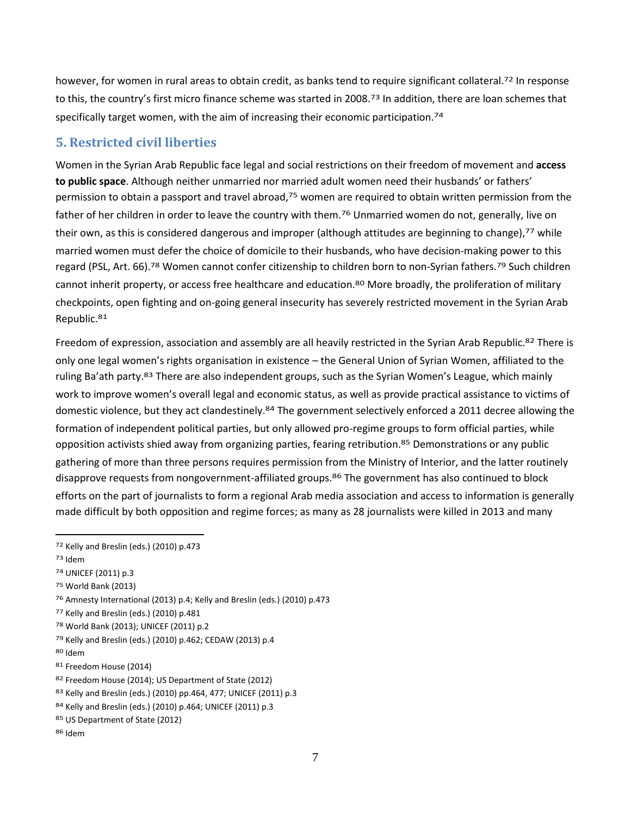however, for women in rural areas to obtain credit, as banks tend to require significant collateral.<sup>72</sup> In response to this, the country's first micro finance scheme was started in 2008.<sup>73</sup> In addition, there are loan schemes that specifically target women, with the aim of increasing their economic participation.<sup>74</sup>

### **5. Restricted civil liberties**

Women in the Syrian Arab Republic face legal and social restrictions on their freedom of movement and **access to public space**. Although neither unmarried nor married adult women need their husbands' or fathers' permission to obtain a passport and travel abroad,75 women are required to obtain written permission from the father of her children in order to leave the country with them.<sup>76</sup> Unmarried women do not, generally, live on their own, as this is considered dangerous and improper (although attitudes are beginning to change),<sup>77</sup> while married women must defer the choice of domicile to their husbands, who have decision-making power to this regard (PSL, Art. 66).<sup>78</sup> Women cannot confer citizenship to children born to non-Syrian fathers.<sup>79</sup> Such children cannot inherit property, or access free healthcare and education.80 More broadly, the proliferation of military checkpoints, open fighting and on-going general insecurity has severely restricted movement in the Syrian Arab Republic.81

Freedom of expression, association and assembly are all heavily restricted in the Syrian Arab Republic.<sup>82</sup> There is only one legal women's rights organisation in existence – the General Union of Syrian Women, affiliated to the ruling Ba'ath party.<sup>83</sup> There are also independent groups, such as the Syrian Women's League, which mainly work to improve women's overall legal and economic status, as well as provide practical assistance to victims of domestic violence, but they act clandestinely.84 The government selectively enforced a 2011 decree allowing the formation of independent political parties, but only allowed pro-regime groups to form official parties, while opposition activists shied away from organizing parties, fearing retribution.85 Demonstrations or any public gathering of more than three persons requires permission from the Ministry of Interior, and the latter routinely disapprove requests from nongovernment-affiliated groups.86 The government has also continued to block efforts on the part of journalists to form a regional Arab media association and access to information is generally made difficult by both opposition and regime forces; as many as 28 journalists were killed in 2013 and many

 $\overline{a}$ 

78 World Bank (2013); UNICEF (2011) p.2

80 Idem

<sup>72</sup> Kelly and Breslin (eds.) (2010) p.473

<sup>73</sup> Idem

<sup>74</sup> UNICEF (2011) p.3

<sup>75</sup> World Bank (2013)

<sup>76</sup> Amnesty International (2013) p.4; Kelly and Breslin (eds.) (2010) p.473

<sup>77</sup> Kelly and Breslin (eds.) (2010) p.481

<sup>79</sup> Kelly and Breslin (eds.) (2010) p.462; CEDAW (2013) p.4

<sup>81</sup> Freedom House (2014)

<sup>82</sup> Freedom House (2014); US Department of State (2012)

<sup>83</sup> Kelly and Breslin (eds.) (2010) pp.464, 477; UNICEF (2011) p.3

<sup>84</sup> Kelly and Breslin (eds.) (2010) p.464; UNICEF (2011) p.3

<sup>85</sup> US Department of State (2012)

<sup>86</sup> Idem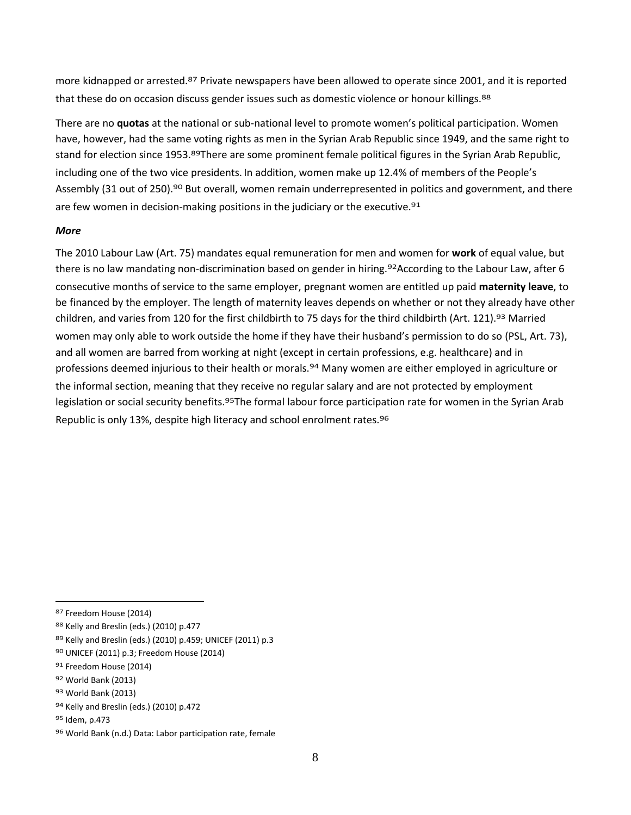more kidnapped or arrested.<sup>87</sup> Private newspapers have been allowed to operate since 2001, and it is reported that these do on occasion discuss gender issues such as domestic violence or honour killings.<sup>88</sup>

There are no **quotas** at the national or sub-national level to promote women's political participation. Women have, however, had the same voting rights as men in the Syrian Arab Republic since 1949, and the same right to stand for election since 1953.89There are some prominent female political figures in the Syrian Arab Republic, including one of the two vice presidents. In addition, women make up 12.4% of members of the People's Assembly (31 out of 250).<sup>90</sup> But overall, women remain underrepresented in politics and government, and there are few women in decision-making positions in the judiciary or the executive.<sup>91</sup>

#### *More*

The 2010 Labour Law (Art. 75) mandates equal remuneration for men and women for **work** of equal value, but there is no law mandating non-discrimination based on gender in hiring.<sup>92</sup>According to the Labour Law, after 6 consecutive months of service to the same employer, pregnant women are entitled up paid **maternity leave**, to be financed by the employer. The length of maternity leaves depends on whether or not they already have other children, and varies from 120 for the first childbirth to 75 days for the third childbirth (Art. 121).93 Married women may only able to work outside the home if they have their husband's permission to do so (PSL, Art. 73), and all women are barred from working at night (except in certain professions, e.g. healthcare) and in professions deemed injurious to their health or morals.94 Many women are either employed in agriculture or the informal section, meaning that they receive no regular salary and are not protected by employment legislation or social security benefits.<sup>95</sup>The formal labour force participation rate for women in the Syrian Arab Republic is only 13%, despite high literacy and school enrolment rates.96

<sup>87</sup> Freedom House (2014)

<sup>88</sup> Kelly and Breslin (eds.) (2010) p.477

<sup>89</sup> Kelly and Breslin (eds.) (2010) p.459; UNICEF (2011) p.3

<sup>90</sup> UNICEF (2011) p.3; Freedom House (2014)

<sup>91</sup> Freedom House (2014)

<sup>92</sup> World Bank (2013)

<sup>93</sup> World Bank (2013)

<sup>94</sup> Kelly and Breslin (eds.) (2010) p.472

<sup>95</sup> Idem, p.473

<sup>96</sup> World Bank (n.d.) Data: Labor participation rate, female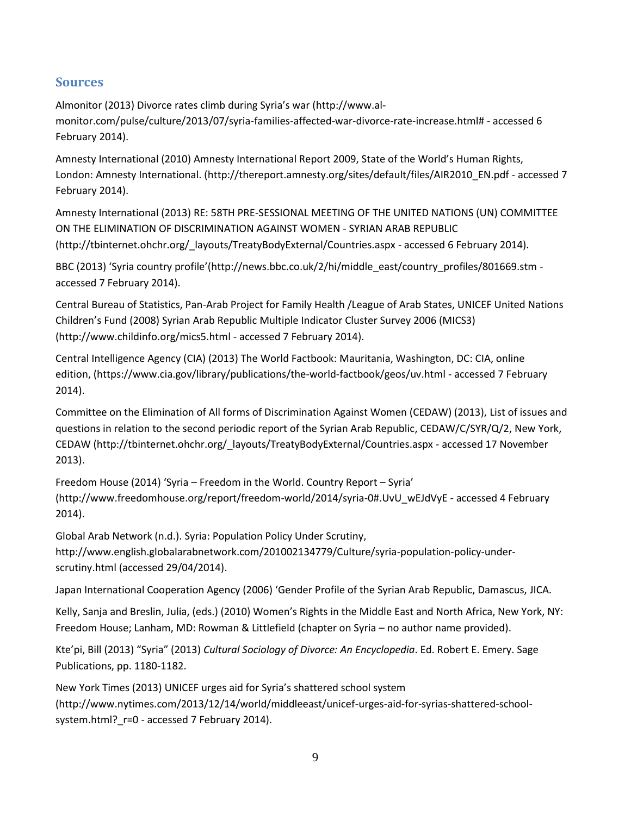## **Sources**

Almonitor (2013) Divorce rates climb during Syria's war ([http://www.al](http://www.al-monitor.com/pulse/culture/2013/07/syria-families-affected-war-divorce-rate-increase.html)[monitor.com/pulse/culture/2013/07/syria-families-affected-war-divorce-rate-increase.html#](http://www.al-monitor.com/pulse/culture/2013/07/syria-families-affected-war-divorce-rate-increase.html) - accessed 6 February 2014).

Amnesty International (2010) Amnesty International Report 2009, State of the World's Human Rights, London: Amnesty International. [\(http://thereport.amnesty.org/sites/default/files/AIR2010\\_EN.pdf](http://thereport.amnesty.org/sites/default/files/AIR2010_EN.pdf) - accessed 7 February 2014).

Amnesty International (2013) RE: 58TH PRE-SESSIONAL MEETING OF THE UNITED NATIONS (UN) COMMITTEE ON THE ELIMINATION OF DISCRIMINATION AGAINST WOMEN - SYRIAN ARAB REPUBLIC [\(http://tbinternet.ohchr.org/\\_layouts/TreatyBodyExternal/Countries.aspx](http://tbinternet.ohchr.org/_layouts/TreatyBodyExternal/Countries.aspx) - accessed 6 February 2014).

BBC (2013) 'Syria country profile'([http://news.bbc.co.uk/2/hi/middle\\_east/country\\_profiles/801669.stm](http://news.bbc.co.uk/2/hi/middle_east/country_profiles/801669.stm) accessed 7 February 2014).

Central Bureau of Statistics, Pan-Arab Project for Family Health /League of Arab States, UNICEF United Nations Children's Fund (2008) Syrian Arab Republic Multiple Indicator Cluster Survey 2006 (MICS3) [\(http://www.childinfo.org/mics5.html](http://www.childinfo.org/mics5.html) - accessed 7 February 2014).

Central Intelligence Agency (CIA) (2013) The World Factbook: Mauritania, Washington, DC: CIA, online edition, [\(https://www.cia.gov/library/publications/the-world-factbook/geos/uv.html](https://www.cia.gov/library/publications/the-world-factbook/geos/uv.html) - accessed 7 February 2014).

Committee on the Elimination of All forms of Discrimination Against Women (CEDAW) (2013), List of issues and questions in relation to the second periodic report of the Syrian Arab Republic, CEDAW/C/SYR/Q/2, New York, CEDAW [\(http://tbinternet.ohchr.org/\\_layouts/TreatyBodyExternal/Countries.aspx](http://tbinternet.ohchr.org/_layouts/TreatyBodyExternal/Countries.aspx) - accessed 17 November 2013).

Freedom House (2014) 'Syria – Freedom in the World. Country Report – Syria' [\(http://www.freedomhouse.org/report/freedom-world/2014/syria-0#.UvU\\_wEJdVyE](http://www.freedomhouse.org/report/freedom-world/2014/syria-0#.UvU_wEJdVyE) - accessed 4 February 2014).

Global Arab Network (n.d.). [Syria: Population Policy Under Scrutiny,](http://www.english.globalarabnetwork.com/201002134779/Culture/syria-population-policy-under-scrutiny.html) [http://www.english.globalarabnetwork.com/201002134779/Culture/syria-population-policy-under](http://www.english.globalarabnetwork.com/201002134779/Culture/syria-population-policy-under-scrutiny.html)[scrutiny.html](http://www.english.globalarabnetwork.com/201002134779/Culture/syria-population-policy-under-scrutiny.html) (accessed 29/04/2014).

Japan International Cooperation Agency (2006) 'Gender Profile of the Syrian Arab Republic, Damascus, JICA.

Kelly, Sanja and Breslin, Julia, (eds.) (2010) Women's Rights in the Middle East and North Africa, New York, NY: Freedom House; Lanham, MD: Rowman & Littlefield (chapter on Syria – no author name provided).

Kte'pi, Bill (2013) "Syria" (2013) *Cultural Sociology of Divorce: An Encyclopedia*. Ed. Robert E. Emery. Sage Publications, pp. 1180-1182.

New York Times (2013) UNICEF urges aid for Syria's shattered school system [\(http://www.nytimes.com/2013/12/14/world/middleeast/unicef-urges-aid-for-syrias-shattered-school](http://www.nytimes.com/2013/12/14/world/middleeast/unicef-urges-aid-for-syrias-shattered-school-system.html?_r=0)system.html? r=0 - accessed 7 February 2014).